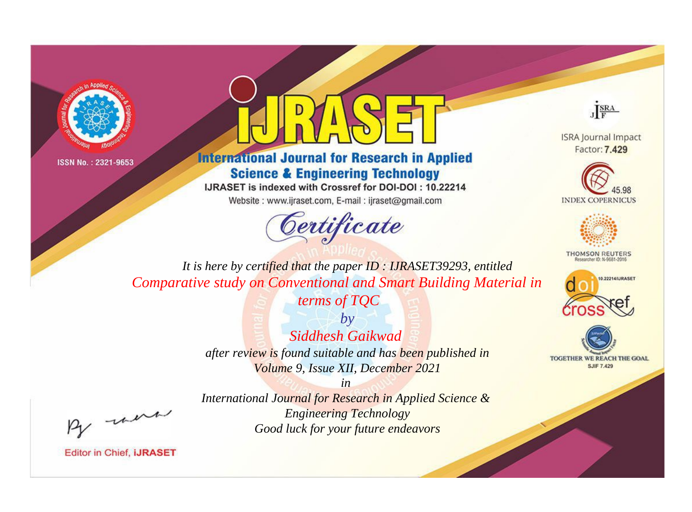



**International Journal for Research in Applied Science & Engineering Technology** 

IJRASET is indexed with Crossref for DOI-DOI: 10.22214

Website: www.ijraset.com, E-mail: ijraset@gmail.com





**ISRA Journal Impact** Factor: 7.429





**THOMSON REUTERS** 



TOGETHER WE REACH THE GOAL **SJIF 7.429** 

*It is here by certified that the paper ID : IJRASET39293, entitled Comparative study on Conventional and Smart Building Material in* 

*terms of TQC*

*by Siddhesh Gaikwad after review is found suitable and has been published in Volume 9, Issue XII, December 2021*

*in* 

*International Journal for Research in Applied Science & Engineering Technology Good luck for your future endeavors*

, un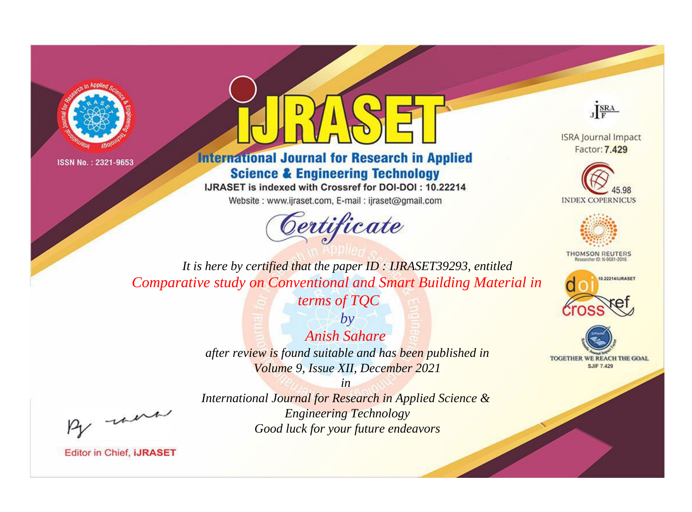



**International Journal for Research in Applied Science & Engineering Technology** 

IJRASET is indexed with Crossref for DOI-DOI: 10.22214

Website: www.ijraset.com, E-mail: ijraset@gmail.com



JERA

**ISRA Journal Impact** Factor: 7.429





**THOMSON REUTERS** 



TOGETHER WE REACH THE GOAL **SJIF 7.429** 

It is here by certified that the paper ID: IJRASET39293, entitled Comparative study on Conventional and Smart Building Material in

terms of TQC

 $b\nu$ Anish Sahare after review is found suitable and has been published in Volume 9, Issue XII, December 2021

were

International Journal for Research in Applied Science & **Engineering Technology** Good luck for your future endeavors

 $in$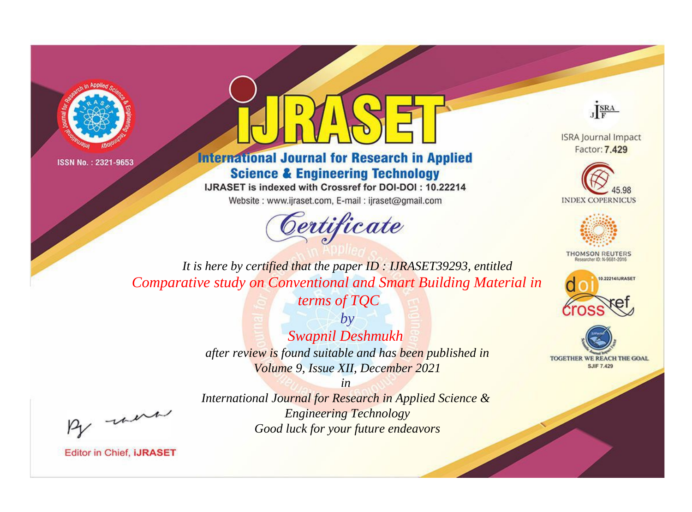



**International Journal for Research in Applied Science & Engineering Technology** 

IJRASET is indexed with Crossref for DOI-DOI: 10.22214

Website: www.ijraset.com, E-mail: ijraset@gmail.com



JERA

**ISRA Journal Impact** Factor: 7.429





**THOMSON REUTERS** 



TOGETHER WE REACH THE GOAL **SJIF 7.429** 

It is here by certified that the paper ID: IJRASET39293, entitled Comparative study on Conventional and Smart Building Material in

terms of TQC

 $b\nu$ Swapnil Deshmukh after review is found suitable and has been published in Volume 9, Issue XII, December 2021

were

International Journal for Research in Applied Science & **Engineering Technology** Good luck for your future endeavors

 $in$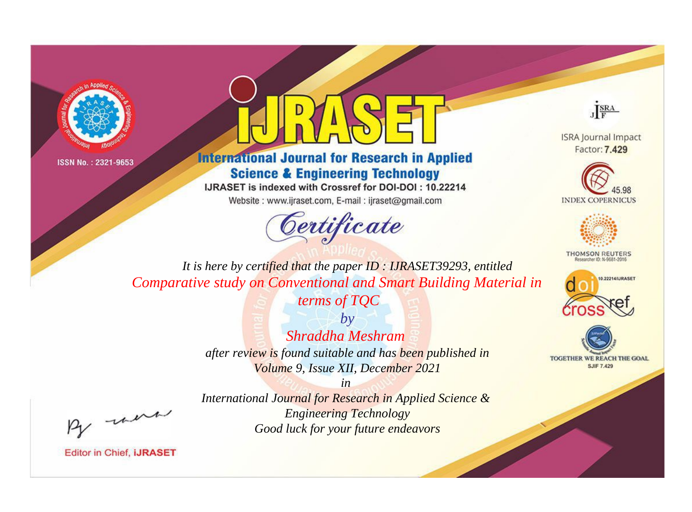



**International Journal for Research in Applied Science & Engineering Technology** 

IJRASET is indexed with Crossref for DOI-DOI: 10.22214

Website: www.ijraset.com, E-mail: ijraset@gmail.com





**ISRA Journal Impact** Factor: 7.429





**THOMSON REUTERS** 



TOGETHER WE REACH THE GOAL **SJIF 7.429** 

*It is here by certified that the paper ID : IJRASET39293, entitled Comparative study on Conventional and Smart Building Material in* 

*terms of TQC*

*by Shraddha Meshram after review is found suitable and has been published in Volume 9, Issue XII, December 2021*

, un

*International Journal for Research in Applied Science & Engineering Technology Good luck for your future endeavors*

*in*